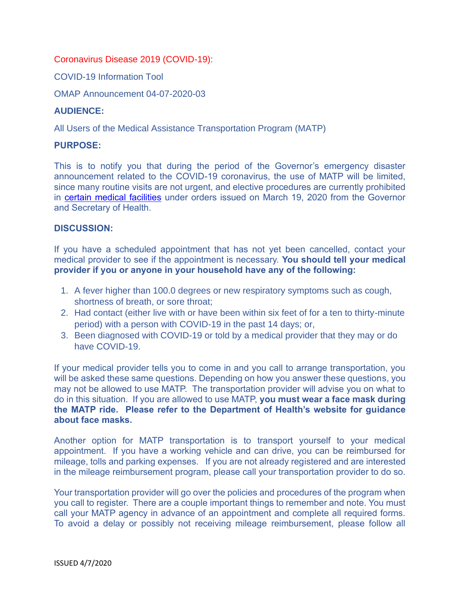## Coronavirus Disease 2019 (COVID-19):

COVID-19 Information Tool

OMAP Announcement 04-07-2020-03

## **AUDIENCE:**

All Users of the Medical Assistance Transportation Program (MATP)

## **PURPOSE:**

This is to notify you that during the period of the Governor's emergency disaster announcement related to the COVID-19 coronavirus, the use of MATP will be limited, since many routine visits are not urgent, and elective procedures are currently prohibited in [certain medical facilities](https://www.governor.pa.gov/wp-content/uploads/2020/03/20200319-Life-Sustaining-Business.pdf) under orders issued on March 19, 2020 from the Governor and Secretary of Health.

## **DISCUSSION:**

If you have a scheduled appointment that has not yet been cancelled, contact your medical provider to see if the appointment is necessary. **You should tell your medical provider if you or anyone in your household have any of the following:**

- 1. A fever higher than 100.0 degrees or new respiratory symptoms such as cough, shortness of breath, or sore throat;
- 2. Had contact (either live with or have been within six feet of for a ten to thirty-minute period) with a person with COVID-19 in the past 14 days; or,
- 3. Been diagnosed with COVID-19 or told by a medical provider that they may or do have COVID-19.

If your medical provider tells you to come in and you call to arrange transportation, you will be asked these same questions. Depending on how you answer these questions, you may not be allowed to use MATP. The transportation provider will advise you on what to do in this situation. If you are allowed to use MATP, **you must wear a face mask during the MATP ride. Please refer to the Department of Health's website for guidance about face masks.**

Another option for MATP transportation is to transport yourself to your medical appointment. If you have a working vehicle and can drive, you can be reimbursed for mileage, tolls and parking expenses. If you are not already registered and are interested in the mileage reimbursement program, please call your transportation provider to do so.

Your transportation provider will go over the policies and procedures of the program when you call to register. There are a couple important things to remember and note. You must call your MATP agency in advance of an appointment and complete all required forms. To avoid a delay or possibly not receiving mileage reimbursement, please follow all